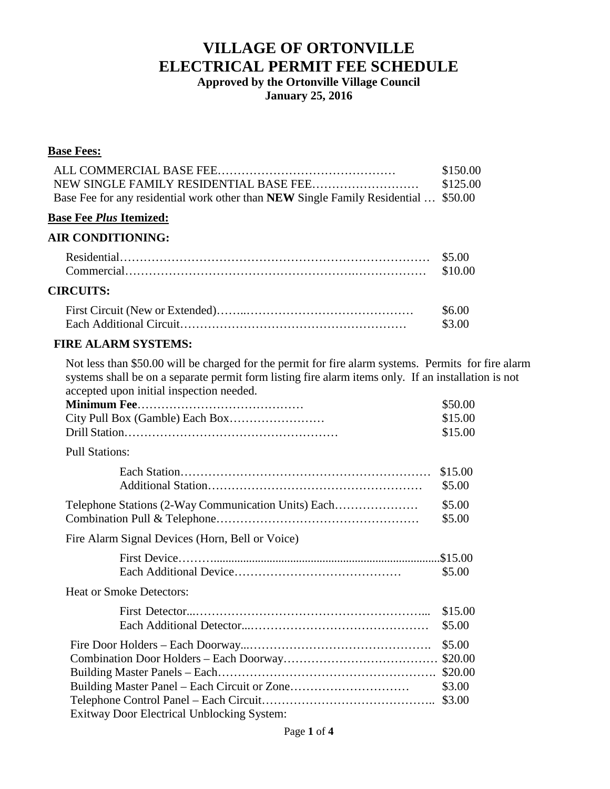**Approved by the Ortonville Village Council January 25, 2016**

#### **Base Fees:**

|                                                                                     | \$150.00 |
|-------------------------------------------------------------------------------------|----------|
|                                                                                     | \$125.00 |
| Base Fee for any residential work other than NEW Single Family Residential  \$50.00 |          |

#### **Base Fee** *Plus* **Itemized:**

#### **AIR CONDITIONING:**

| <b>CIRCUITS:</b> |                   |
|------------------|-------------------|
|                  | \$6.00<br>-\$3.00 |

### **FIRE ALARM SYSTEMS:**

Not less than \$50.00 will be charged for the permit for fire alarm systems. Permits for fire alarm systems shall be on a separate permit form listing fire alarm items only. If an installation is not accepted upon initial inspection needed.

|                                                     | \$50.00 |
|-----------------------------------------------------|---------|
|                                                     | \$15.00 |
|                                                     | \$15.00 |
| <b>Pull Stations:</b>                               |         |
|                                                     | \$15.00 |
|                                                     | \$5.00  |
| Telephone Stations (2-Way Communication Units) Each | \$5.00  |
|                                                     | \$5.00  |
| Fire Alarm Signal Devices (Horn, Bell or Voice)     |         |
|                                                     |         |
|                                                     | \$5.00  |
| <b>Heat or Smoke Detectors:</b>                     |         |
|                                                     | \$15.00 |
|                                                     | \$5.00  |
|                                                     | \$5.00  |
|                                                     |         |
|                                                     | \$20.00 |
|                                                     | \$3.00  |
|                                                     | \$3.00  |
| Exitway Door Electrical Unblocking System:          |         |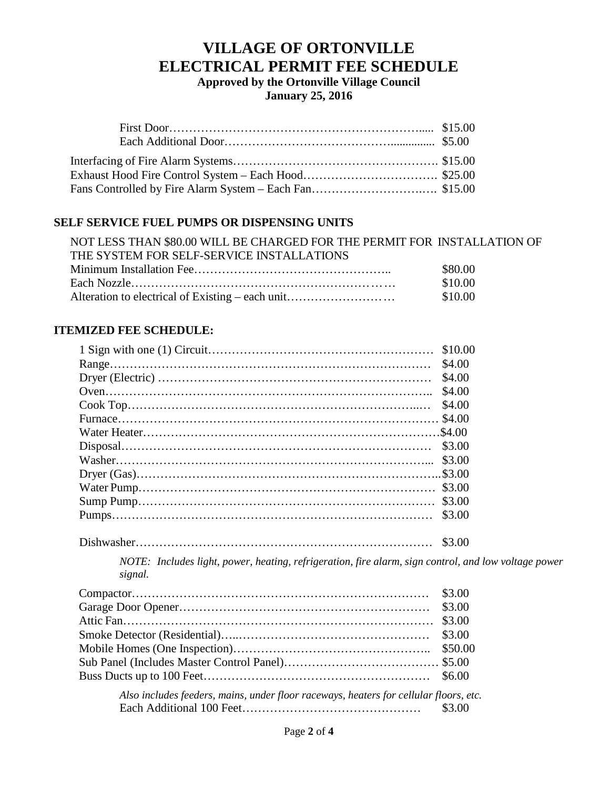**Approved by the Ortonville Village Council January 25, 2016**

### **SELF SERVICE FUEL PUMPS OR DISPENSING UNITS**

| NOT LESS THAN \$80.00 WILL BE CHARGED FOR THE PERMIT FOR INSTALLATION OF |         |
|--------------------------------------------------------------------------|---------|
| THE SYSTEM FOR SELF-SERVICE INSTALLATIONS                                |         |
|                                                                          | \$80.00 |
|                                                                          | \$10.00 |
| Alteration to electrical of Existing – each unit                         | \$10.00 |

### **ITEMIZED FEE SCHEDULE:**

| \$4.00 |
|--------|
|        |
| \$4.00 |
|        |
|        |
|        |
|        |
|        |
|        |
|        |
|        |
|        |

Dishwasher………………………………………………………………… \$3.00

*NOTE: Includes light, power, heating, refrigeration, fire alarm, sign control, and low voltage power signal.*

*Also includes feeders, mains, under floor raceways, heaters for cellular floors, etc.* Each Additional 100 Feet……………………………………… \$3.00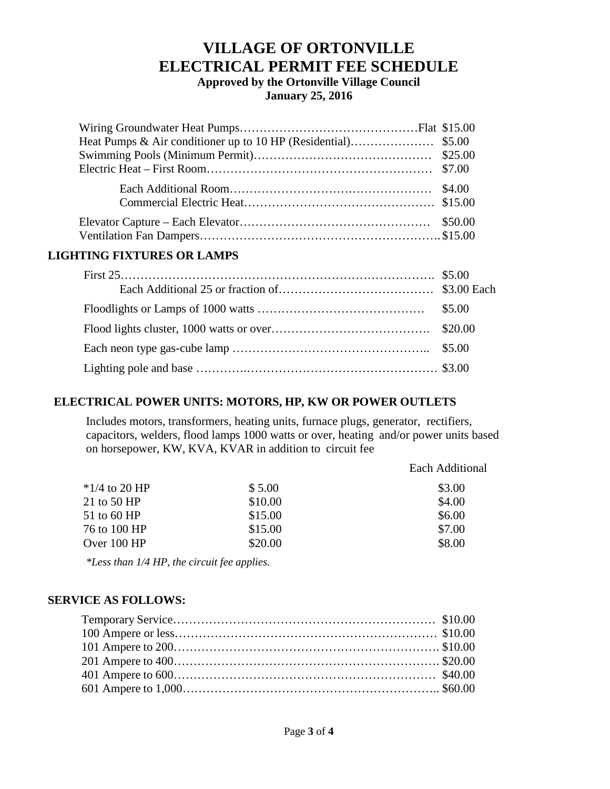**Approved by the Ortonville Village Council January 25, 2016**

#### **LIGHTING FIXTURES OR LAMPS**

## **ELECTRICAL POWER UNITS: MOTORS, HP, KW OR POWER OUTLETS**

Includes motors, transformers, heating units, furnace plugs, generator, rectifiers, capacitors, welders, flood lamps 1000 watts or over, heating and/or power units based on horsepower, KW, KVA, KVAR in addition to circuit fee

|         | <b>Each Additional</b> |
|---------|------------------------|
| \$5.00  | \$3.00                 |
| \$10.00 | \$4.00                 |
| \$15.00 | \$6.00                 |
| \$15.00 | \$7.00                 |
| \$20.00 | \$8.00                 |
|         |                        |

*\*Less than 1/4 HP, the circuit fee applies.*

### **SERVICE AS FOLLOWS:**